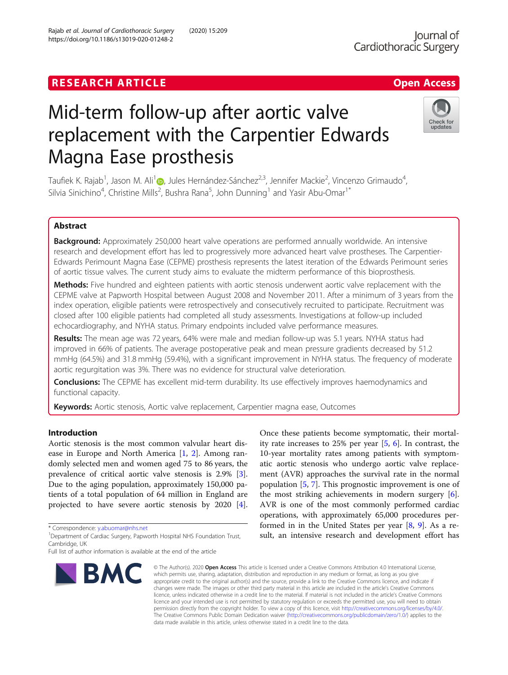# Rajab et al. Journal of Cardiothoracic Surgery (2020) 15:209 https://doi.org/10.1186/s13019-020-01248-2

# Mid-term follow-up after aortic valve replacement with the Carpentier Edwards Magna Ease prosthesis

Taufiek K. Rajab<sup>1</sup>, Jason M. Ali<sup>1</sup> (b, Jules Hernández-Sánchez<sup>2,3</sup>, Jennifer Mackie<sup>2</sup>, Vincenzo Grimaudo<sup>4</sup> , Silvia Sinichino<sup>4</sup>, Christine Mills<sup>2</sup>, Bushra Rana<sup>5</sup>, John Dunning<sup>1</sup> and Yasir Abu-Omar<sup>1\*</sup>

# Abstract

Background: Approximately 250,000 heart valve operations are performed annually worldwide. An intensive research and development effort has led to progressively more advanced heart valve prostheses. The Carpentier-Edwards Perimount Magna Ease (CEPME) prosthesis represents the latest iteration of the Edwards Perimount series of aortic tissue valves. The current study aims to evaluate the midterm performance of this bioprosthesis.

Methods: Five hundred and eighteen patients with aortic stenosis underwent aortic valve replacement with the CEPME valve at Papworth Hospital between August 2008 and November 2011. After a minimum of 3 years from the index operation, eligible patients were retrospectively and consecutively recruited to participate. Recruitment was closed after 100 eligible patients had completed all study assessments. Investigations at follow-up included echocardiography, and NYHA status. Primary endpoints included valve performance measures.

Results: The mean age was 72 years, 64% were male and median follow-up was 5.1 years. NYHA status had improved in 66% of patients. The average postoperative peak and mean pressure gradients decreased by 51.2 mmHg (64.5%) and 31.8 mmHg (59.4%), with a significant improvement in NYHA status. The frequency of moderate aortic regurgitation was 3%. There was no evidence for structural valve deterioration.

**Conclusions:** The CEPME has excellent mid-term durability. Its use effectively improves haemodynamics and functional capacity.

**Keywords:** Aortic stenosis, Aortic valve replacement, Carpentier magna ease, Outcomes

# Introduction

Aortic stenosis is the most common valvular heart disease in Europe and North America [\[1](#page-5-0), [2](#page-5-0)]. Among randomly selected men and women aged 75 to 86 years, the prevalence of critical aortic valve stenosis is 2.9% [\[3](#page-5-0)]. Due to the aging population, approximately 150,000 patients of a total population of 64 million in England are projected to have severe aortic stenosis by 2020 [\[4](#page-5-0)].

\* Correspondence: [y.abuomar@nhs.net](mailto:y.abuomar@nhs.net) <sup>1</sup>

BMC

<sup>1</sup>Department of Cardiac Surgery, Papworth Hospital NHS Foundation Trust, Cambridge, UK

# Once these patients become symptomatic, their mortality rate increases to 25% per year [\[5](#page-5-0), [6\]](#page-5-0). In contrast, the 10-year mortality rates among patients with symptomatic aortic stenosis who undergo aortic valve replacement (AVR) approaches the survival rate in the normal population [[5,](#page-5-0) [7\]](#page-5-0). This prognostic improvement is one of the most striking achievements in modern surgery  $[6]$  $[6]$ . AVR is one of the most commonly performed cardiac operations, with approximately 65,000 procedures performed in in the United States per year  $[8, 9]$  $[8, 9]$  $[8, 9]$ . As a result, an intensive research and development effort has

© The Author(s), 2020 **Open Access** This article is licensed under a Creative Commons Attribution 4.0 International License, which permits use, sharing, adaptation, distribution and reproduction in any medium or format, as long as you give appropriate credit to the original author(s) and the source, provide a link to the Creative Commons licence, and indicate if changes were made. The images or other third party material in this article are included in the article's Creative Commons licence, unless indicated otherwise in a credit line to the material. If material is not included in the article's Creative Commons licence and your intended use is not permitted by statutory regulation or exceeds the permitted use, you will need to obtain permission directly from the copyright holder. To view a copy of this licence, visit [http://creativecommons.org/licenses/by/4.0/.](http://creativecommons.org/licenses/by/4.0/) The Creative Commons Public Domain Dedication waiver [\(http://creativecommons.org/publicdomain/zero/1.0/](http://creativecommons.org/publicdomain/zero/1.0/)) applies to the data made available in this article, unless otherwise stated in a credit line to the data.





Full list of author information is available at the end of the article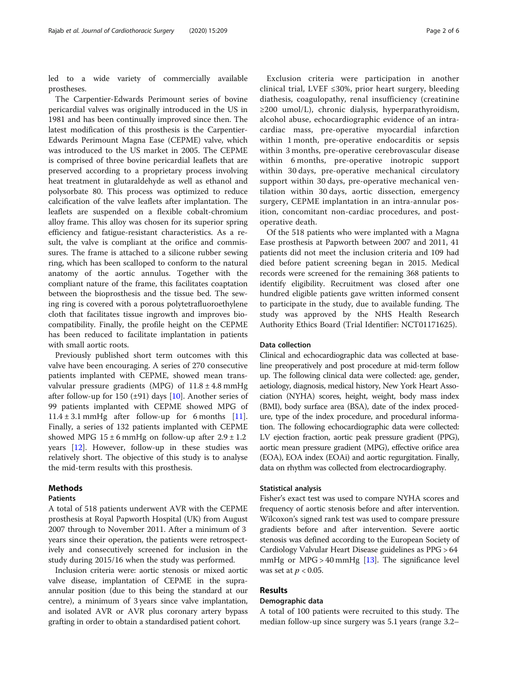led to a wide variety of commercially available prostheses.

The Carpentier-Edwards Perimount series of bovine pericardial valves was originally introduced in the US in 1981 and has been continually improved since then. The latest modification of this prosthesis is the Carpentier-Edwards Perimount Magna Ease (CEPME) valve, which was introduced to the US market in 2005. The CEPME is comprised of three bovine pericardial leaflets that are preserved according to a proprietary process involving heat treatment in glutaraldehyde as well as ethanol and polysorbate 80. This process was optimized to reduce calcification of the valve leaflets after implantation. The leaflets are suspended on a flexible cobalt-chromium alloy frame. This alloy was chosen for its superior spring efficiency and fatigue-resistant characteristics. As a result, the valve is compliant at the orifice and commissures. The frame is attached to a silicone rubber sewing ring, which has been scalloped to conform to the natural anatomy of the aortic annulus. Together with the compliant nature of the frame, this facilitates coaptation between the bioprosthesis and the tissue bed. The sewing ring is covered with a porous polytetrafluoroethylene cloth that facilitates tissue ingrowth and improves biocompatibility. Finally, the profile height on the CEPME has been reduced to facilitate implantation in patients with small aortic roots.

Previously published short term outcomes with this valve have been encouraging. A series of 270 consecutive patients implanted with CEPME, showed mean transvalvular pressure gradients (MPG) of  $11.8 \pm 4.8$  mmHg after follow-up for 150  $(\pm 91)$  days [[10\]](#page-5-0). Another series of 99 patients implanted with CEPME showed MPG of  $11.4 \pm 3.1$  mmHg after follow-up for 6 months [\[11](#page-5-0)]. Finally, a series of 132 patients implanted with CEPME showed MPG  $15 \pm 6$  mmHg on follow-up after  $2.9 \pm 1.2$ years [[12\]](#page-5-0). However, follow-up in these studies was relatively short. The objective of this study is to analyse the mid-term results with this prosthesis.

# Methods

# **Patients**

A total of 518 patients underwent AVR with the CEPME prosthesis at Royal Papworth Hospital (UK) from August 2007 through to November 2011. After a minimum of 3 years since their operation, the patients were retrospectively and consecutively screened for inclusion in the study during 2015/16 when the study was performed.

Inclusion criteria were: aortic stenosis or mixed aortic valve disease, implantation of CEPME in the supraannular position (due to this being the standard at our centre), a minimum of 3 years since valve implantation, and isolated AVR or AVR plus coronary artery bypass grafting in order to obtain a standardised patient cohort.

Exclusion criteria were participation in another clinical trial, LVEF ≤30%, prior heart surgery, bleeding diathesis, coagulopathy, renal insufficiency (creatinine ≥200 umol/L), chronic dialysis, hyperparathyroidism, alcohol abuse, echocardiographic evidence of an intracardiac mass, pre-operative myocardial infarction within 1 month, pre-operative endocarditis or sepsis within 3 months, pre-operative cerebrovascular disease within 6 months, pre-operative inotropic support within 30 days, pre-operative mechanical circulatory support within 30 days, pre-operative mechanical ventilation within 30 days, aortic dissection, emergency surgery, CEPME implantation in an intra-annular position, concomitant non-cardiac procedures, and postoperative death.

Of the 518 patients who were implanted with a Magna Ease prosthesis at Papworth between 2007 and 2011, 41 patients did not meet the inclusion criteria and 109 had died before patient screening began in 2015. Medical records were screened for the remaining 368 patients to identify eligibility. Recruitment was closed after one hundred eligible patients gave written informed consent to participate in the study, due to available funding. The study was approved by the NHS Health Research Authority Ethics Board (Trial Identifier: NCT01171625).

# Data collection

Clinical and echocardiographic data was collected at baseline preoperatively and post procedure at mid-term follow up. The following clinical data were collected: age, gender, aetiology, diagnosis, medical history, New York Heart Association (NYHA) scores, height, weight, body mass index (BMI), body surface area (BSA), date of the index procedure, type of the index procedure, and procedural information. The following echocardiographic data were collected: LV ejection fraction, aortic peak pressure gradient (PPG), aortic mean pressure gradient (MPG), effective orifice area (EOA), EOA index (EOAi) and aortic regurgitation. Finally, data on rhythm was collected from electrocardiography.

# Statistical analysis

Fisher's exact test was used to compare NYHA scores and frequency of aortic stenosis before and after intervention. Wilcoxon's signed rank test was used to compare pressure gradients before and after intervention. Severe aortic stenosis was defined according to the European Society of Cardiology Valvular Heart Disease guidelines as PPG > 64 mmHg or  $MPG > 40$  mmHg [\[13\]](#page-5-0). The significance level was set at  $p < 0.05$ .

#### Results

#### Demographic data

A total of 100 patients were recruited to this study. The median follow-up since surgery was 5.1 years (range 3.2–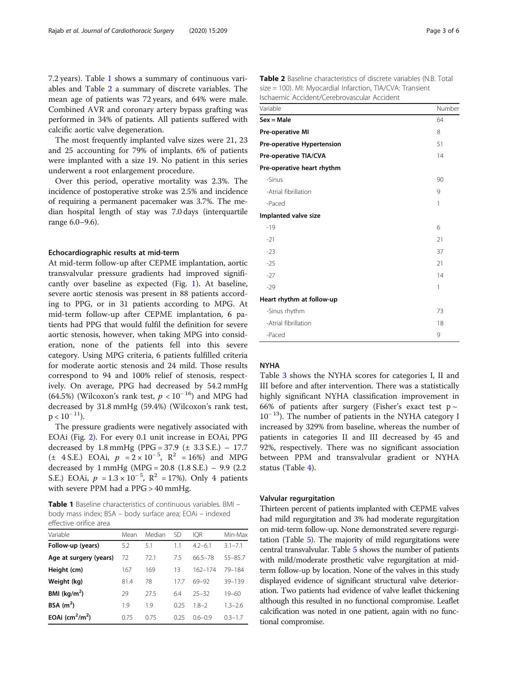7.2 years). Table 1 shows a summary of continuous variables and Table 2 a summary of discrete variables. The mean age of patients was 72 years, and 64% were male. Combined AVR and coronary artery bypass grafting was performed in 34% of patients. All patients suffered with calcific aortic valve degeneration.

The most frequently implanted valve sizes were 21, 23 and 25 accounting for 79% of implants. 6% of patients were implanted with a size 19. No patient in this series underwent a root enlargement procedure.

Over this period, operative mortality was 2.3%. The incidence of postoperative stroke was 2.5% and incidence of requiring a permanent pacemaker was 3.7%. The median hospital length of stay was 7.0 days (interquartile range 6.0–9.6).

# Echocardiographic results at mid-term

At mid-term follow-up after CEPME implantation, aortic transvalvular pressure gradients had improved significantly over baseline as expected (Fig. [1\)](#page-3-0). At baseline, severe aortic stenosis was present in 88 patients according to PPG, or in 31 patients according to MPG. At mid-term follow-up after CEPME implantation, 6 patients had PPG that would fulfil the definition for severe aortic stenosis, however, when taking MPG into consideration, none of the patients fell into this severe category. Using MPG criteria, 6 patients fulfilled criteria for moderate aortic stenosis and 24 mild. Those results correspond to 94 and 100% relief of stenosis, respectively. On average, PPG had decreased by 54.2 mmHg (64.5%) (Wilcoxon's rank test,  $p < 10^{-16}$ ) and MPG had decreased by 31.8 mmHg (59.4%) (Wilcoxon's rank test,  $p < 10^{-11}$ ).

The pressure gradients were negatively associated with EOAi (Fig. [2](#page-3-0)). For every 0.1 unit increase in EOAi, PPG decreased by 1.8 mmHg (PPG = 37.9 ( $\pm$  3.3 S.E.) – 17.7  $(\pm 4 \text{ S.E.})$  EOAi,  $p = 2 \times 10^{-5}$ ,  $\mathbb{R}^2 = 16\%$  and MPG decreased by 1 mmHg (MPG =  $20.8$  (1.8 S.E.) – 9.9 (2.2) S.E.) EOAi,  $p = 1.3 \times 10^{-5}$ ,  $R^2 = 17\%$ . Only 4 patients with severe PPM had a PPG > 40 mmHg.

Table 1 Baseline characteristics of continuous variables. BMI body mass index; BSA – body surface area; EOAi – indexed effective orifice area

| Variable                        | Mean | Median | <b>SD</b> | IOR         | Min-Max     |
|---------------------------------|------|--------|-----------|-------------|-------------|
| Follow-up (years)               | 5.2  | 5.1    | 1.1       | $42 - 61$   | $3.1 - 7.1$ |
| Age at surgery (years)          | 72   | 72.1   | 75        | 665-78      | $55 - 85.7$ |
| Height (cm)                     | 167  | 169    | 13        | $162 - 174$ | 79-184      |
| Weight (kg)                     | 81.4 | 78     | 177       | 69-92       | $39 - 139$  |
| BMI ( $\text{kg/m}^2$ )         | 29   | 275    | 64        | $25 - 32$   | $19 - 60$   |
| BSA $(m2)$                      | 1.9  | 1.9    | 0.25      | $18-2$      | $1.3 - 2.6$ |
| EOAi $\text{(cm}^2/\text{m}^2)$ | 075  | 0.75   | 025       | $06 - 09$   | $0.3 - 1.7$ |

| <b>Table 2</b> Baseline characteristics of discrete variables (N.B. Total |
|---------------------------------------------------------------------------|
| size = 100). MI: Myocardial Infarction, TIA/CVA: Transient                |
| Ischaemic Accident/Cerebrovascular Accident                               |

| Variable                   | Number |
|----------------------------|--------|
| $Sex = Male$               | 64     |
| Pre-operative MI           | 8      |
| Pre-operative Hypertension | 51     |
| Pre-operative TIA/CVA      | 14     |
| Pre-operative heart rhythm |        |
| -Sinus                     | 90     |
| -Atrial fibrillation       | 9      |
| -Paced                     | 1      |
| Implanted valve size       |        |
| $-19$                      | 6      |
| $-21$                      | 21     |
| $-23$                      | 37     |
| $-25$                      | 21     |
| $-27$                      | 14     |
| $-29$                      | 1      |
| Heart rhythm at follow-up  |        |
| -Sinus rhythm              | 73     |
| -Atrial fibrillation       | 18     |
| -Paced                     | 9      |

#### **NYHA**

Table [3](#page-4-0) shows the NYHA scores for categories I, II and III before and after intervention. There was a statistically highly significant NYHA classification improvement in 66% of patients after surgery (Fisher's exact test  $p \sim$  $10^{-13}$ ). The number of patients in the NYHA category I increased by 329% from baseline, whereas the number of patients in categories II and III decreased by 45 and 92%, respectively. There was no significant association between PPM and transvalvular gradient or NYHA status (Table [4](#page-4-0)).

# Valvular regurgitation

Thirteen percent of patients implanted with CEPME valves had mild regurgitation and 3% had moderate regurgitation on mid-term follow-up. None demonstrated severe regurgitation (Table [5\)](#page-4-0). The majority of mild regurgitations were central transvalvular. Table [5](#page-4-0) shows the number of patients with mild/moderate prosthetic valve regurgitation at midterm follow-up by location. None of the valves in this study displayed evidence of significant structural valve deterioration. Two patients had evidence of valve leaflet thickening although this resulted in no functional compromise. Leaflet calcification was noted in one patient, again with no functional compromise.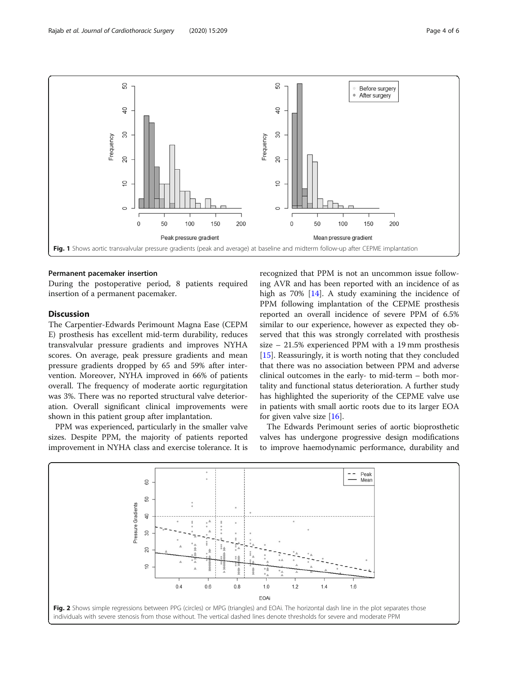<span id="page-3-0"></span>

#### Permanent pacemaker insertion

During the postoperative period, 8 patients required insertion of a permanent pacemaker.

# **Discussion**

The Carpentier-Edwards Perimount Magna Ease (CEPM E) prosthesis has excellent mid-term durability, reduces transvalvular pressure gradients and improves NYHA scores. On average, peak pressure gradients and mean pressure gradients dropped by 65 and 59% after intervention. Moreover, NYHA improved in 66% of patients overall. The frequency of moderate aortic regurgitation was 3%. There was no reported structural valve deterioration. Overall significant clinical improvements were shown in this patient group after implantation.

PPM was experienced, particularly in the smaller valve sizes. Despite PPM, the majority of patients reported improvement in NYHA class and exercise tolerance. It is recognized that PPM is not an uncommon issue following AVR and has been reported with an incidence of as high as 70% [[14](#page-5-0)]. A study examining the incidence of PPM following implantation of the CEPME prosthesis reported an overall incidence of severe PPM of 6.5% similar to our experience, however as expected they observed that this was strongly correlated with prosthesis size – 21.5% experienced PPM with a 19 mm prosthesis [[15\]](#page-5-0). Reassuringly, it is worth noting that they concluded that there was no association between PPM and adverse clinical outcomes in the early- to mid-term – both mortality and functional status deterioration. A further study has highlighted the superiority of the CEPME valve use in patients with small aortic roots due to its larger EOA for given valve size  $[16]$  $[16]$ .

The Edwards Perimount series of aortic bioprosthetic valves has undergone progressive design modifications to improve haemodynamic performance, durability and

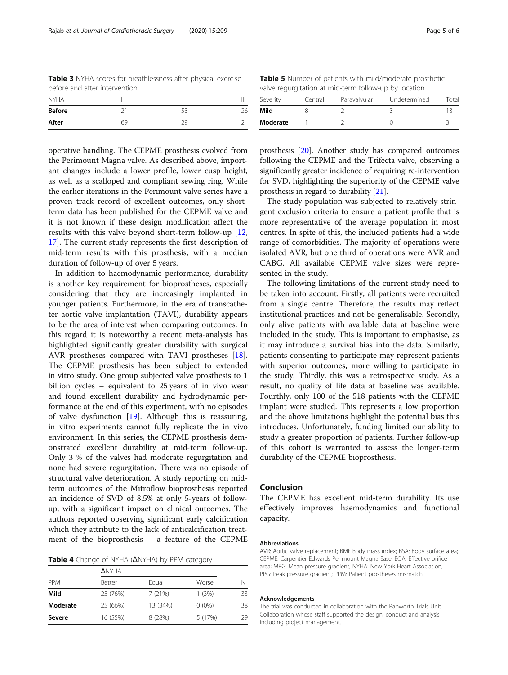<span id="page-4-0"></span>Table 3 NYHA scores for breathlessness after physical exercise before and after intervention

| <b>NYHA</b>   |    |    |    |
|---------------|----|----|----|
| <b>Before</b> |    | 53 | 26 |
| After         | 69 | 29 |    |

Table 5 Number of patients with mild/moderate prosthetic valve regurgitation at mid-term follow-up by location

| Severity | Central | Paravalvular | Undetermined | Total |
|----------|---------|--------------|--------------|-------|
| Mild     |         |              |              |       |
| Moderate |         |              |              |       |

operative handling. The CEPME prosthesis evolved from the Perimount Magna valve. As described above, important changes include a lower profile, lower cusp height, as well as a scalloped and compliant sewing ring. While the earlier iterations in the Perimount valve series have a proven track record of excellent outcomes, only shortterm data has been published for the CEPME valve and it is not known if these design modification affect the results with this valve beyond short-term follow-up [[12](#page-5-0), [17\]](#page-5-0). The current study represents the first description of mid-term results with this prosthesis, with a median duration of follow-up of over 5 years.

In addition to haemodynamic performance, durability is another key requirement for bioprostheses, especially considering that they are increasingly implanted in younger patients. Furthermore, in the era of transcatheter aortic valve implantation (TAVI), durability appears to be the area of interest when comparing outcomes. In this regard it is noteworthy a recent meta-analysis has highlighted significantly greater durability with surgical AVR prostheses compared with TAVI prostheses [\[18](#page-5-0)]. The CEPME prosthesis has been subject to extended in vitro study. One group subjected valve prosthesis to 1 billion cycles – equivalent to 25 years of in vivo wear and found excellent durability and hydrodynamic performance at the end of this experiment, with no episodes of valve dysfunction [\[19](#page-5-0)]. Although this is reassuring, in vitro experiments cannot fully replicate the in vivo environment. In this series, the CEPME prosthesis demonstrated excellent durability at mid-term follow-up. Only 3 % of the valves had moderate regurgitation and none had severe regurgitation. There was no episode of structural valve deterioration. A study reporting on midterm outcomes of the Mitroflow bioprosthesis reported an incidence of SVD of 8.5% at only 5-years of followup, with a significant impact on clinical outcomes. The authors reported observing significant early calcification which they attribute to the lack of anticalcification treatment of the bioprosthesis – a feature of the CEPME

Table 4 Change of NYHA (ΔNYHA) by PPM category

| <b>PPM</b> | <b>ANYHA</b>  |          |          |    |
|------------|---------------|----------|----------|----|
|            | <b>Better</b> | Equal    | Worse    | N  |
| Mild       | 25 (76%)      | 7(21%)   | 1(3%)    | 33 |
| Moderate   | 25 (66%)      | 13 (34%) | $0(0\%)$ | 38 |
| Severe     | 16 (55%)      | 8 (28%)  | 5 (17%)  | 29 |
|            |               |          |          |    |

prosthesis [[20](#page-5-0)]. Another study has compared outcomes following the CEPME and the Trifecta valve, observing a significantly greater incidence of requiring re-intervention for SVD, highlighting the superiority of the CEPME valve prosthesis in regard to durability [\[21](#page-5-0)].

The study population was subjected to relatively stringent exclusion criteria to ensure a patient profile that is more representative of the average population in most centres. In spite of this, the included patients had a wide range of comorbidities. The majority of operations were isolated AVR, but one third of operations were AVR and CABG. All available CEPME valve sizes were represented in the study.

The following limitations of the current study need to be taken into account. Firstly, all patients were recruited from a single centre. Therefore, the results may reflect institutional practices and not be generalisable. Secondly, only alive patients with available data at baseline were included in the study. This is important to emphasise, as it may introduce a survival bias into the data. Similarly, patients consenting to participate may represent patients with superior outcomes, more willing to participate in the study. Thirdly, this was a retrospective study. As a result, no quality of life data at baseline was available. Fourthly, only 100 of the 518 patients with the CEPME implant were studied. This represents a low proportion and the above limitations highlight the potential bias this introduces. Unfortunately, funding limited our ability to study a greater proportion of patients. Further follow-up of this cohort is warranted to assess the longer-term durability of the CEPME bioprosthesis.

# Conclusion

The CEPME has excellent mid-term durability. Its use effectively improves haemodynamics and functional capacity.

#### Abbreviations

AVR: Aortic valve replacement; BMI: Body mass index; BSA: Body surface area; CEPME: Carpentier Edwards Perimount Magna Ease; EOA: Effective orifice area; MPG: Mean pressure gradient; NYHA: New York Heart Association; PPG: Peak pressure gradient; PPM: Patient prostheses mismatch

#### Acknowledgements

The trial was conducted in collaboration with the Papworth Trials Unit Collaboration whose staff supported the design, conduct and analysis including project management.